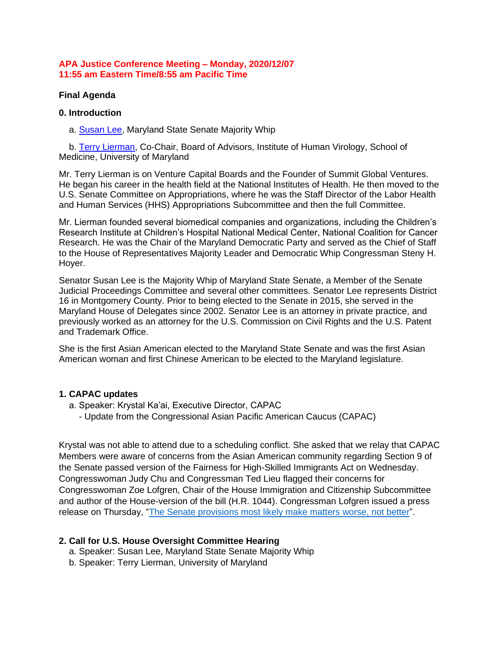### **APA Justice Conference Meeting – Monday, 2020/12/07 11:55 am Eastern Time/8:55 am Pacific Time**

### **Final Agenda**

#### **0. Introduction**

a. **Susan Lee**, Maryland State Senate Majority Whip

 b. [Terry Lierman,](https://bit.ly/37jKTtV) Co-Chair, Board of Advisors, Institute of Human Virology, School of Medicine, University of Maryland

Mr. Terry Lierman is on Venture Capital Boards and the Founder of Summit Global Ventures. He began his career in the health field at the National Institutes of Health. He then moved to the U.S. Senate Committee on Appropriations, where he was the Staff Director of the Labor Health and Human Services (HHS) Appropriations Subcommittee and then the full Committee.

Mr. Lierman founded several biomedical companies and organizations, including the Children's Research Institute at Children's Hospital National Medical Center, National Coalition for Cancer Research. He was the Chair of the Maryland Democratic Party and served as the Chief of Staff to the House of Representatives Majority Leader and Democratic Whip Congressman Steny H. Hoyer.

Senator Susan Lee is the Majority Whip of Maryland State Senate, a Member of the Senate Judicial Proceedings Committee and several other committees. Senator Lee represents District 16 in Montgomery County. Prior to being elected to the Senate in 2015, she served in the Maryland House of Delegates since 2002. Senator Lee is an attorney in private practice, and previously worked as an attorney for the U.S. Commission on Civil Rights and the U.S. Patent and Trademark Office.

She is the first Asian American elected to the Maryland State Senate and was the first Asian American woman and first Chinese American to be elected to the Maryland legislature.

# **1. CAPAC updates**

- a. Speaker: Krystal Ka'ai, Executive Director, CAPAC
	- Update from the Congressional Asian Pacific American Caucus (CAPAC)

Krystal was not able to attend due to a scheduling conflict. She asked that we relay that CAPAC Members were aware of concerns from the Asian American community regarding Section 9 of the Senate passed version of the Fairness for High-Skilled Immigrants Act on Wednesday. Congresswoman Judy Chu and Congressman Ted Lieu flagged their concerns for Congresswoman Zoe Lofgren, Chair of the House Immigration and Citizenship Subcommittee and author of the House-version of the bill (H.R. 1044). Congressman Lofgren issued a press release on Thursday, ["The Senate provisions most likely make matters worse, not better"](https://bit.ly/33Rpd7K).

#### **2. Call for U.S. House Oversight Committee Hearing**

- a. Speaker: Susan Lee, Maryland State Senate Majority Whip
- b. Speaker: Terry Lierman, University of Maryland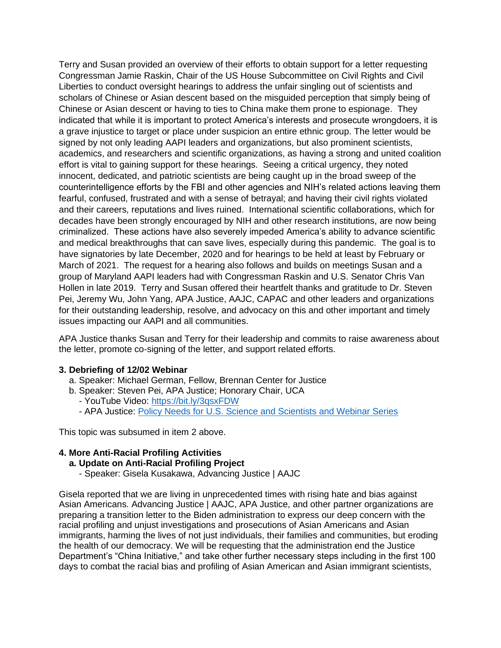Terry and Susan provided an overview of their efforts to obtain support for a letter requesting Congressman Jamie Raskin, Chair of the US House Subcommittee on Civil Rights and Civil Liberties to conduct oversight hearings to address the unfair singling out of scientists and scholars of Chinese or Asian descent based on the misguided perception that simply being of Chinese or Asian descent or having to ties to China make them prone to espionage. They indicated that while it is important to protect America's interests and prosecute wrongdoers, it is a grave injustice to target or place under suspicion an entire ethnic group. The letter would be signed by not only leading AAPI leaders and organizations, but also prominent scientists, academics, and researchers and scientific organizations, as having a strong and united coalition effort is vital to gaining support for these hearings. Seeing a critical urgency, they noted innocent, dedicated, and patriotic scientists are being caught up in the broad sweep of the counterintelligence efforts by the FBI and other agencies and NIH's related actions leaving them fearful, confused, frustrated and with a sense of betrayal; and having their civil rights violated and their careers, reputations and lives ruined. International scientific collaborations, which for decades have been strongly encouraged by NIH and other research institutions, are now being criminalized. These actions have also severely impeded America's ability to advance scientific and medical breakthroughs that can save lives, especially during this pandemic. The goal is to have signatories by late December, 2020 and for hearings to be held at least by February or March of 2021. The request for a hearing also follows and builds on meetings Susan and a group of Maryland AAPI leaders had with Congressman Raskin and U.S. Senator Chris Van Hollen in late 2019. Terry and Susan offered their heartfelt thanks and gratitude to Dr. Steven Pei, Jeremy Wu, John Yang, APA Justice, AAJC, CAPAC and other leaders and organizations for their outstanding leadership, resolve, and advocacy on this and other important and timely issues impacting our AAPI and all communities.

APA Justice thanks Susan and Terry for their leadership and commits to raise awareness about the letter, promote co-signing of the letter, and support related efforts.

# **3. Debriefing of 12/02 Webinar**

- a. Speaker: Michael German, Fellow, Brennan Center for Justice
- b. Speaker: Steven Pei, APA Justice; Honorary Chair, UCA - YouTube Video:<https://bit.ly/3qsxFDW>
	- APA Justice: [Policy Needs for U.S. Science and Scientists and Webinar Series](https://bit.ly/APAJ_Webinar_Series)

This topic was subsumed in item 2 above.

# **4. More Anti-Racial Profiling Activities**

# **a. Update on Anti-Racial Profiling Project**

- Speaker: Gisela Kusakawa, Advancing Justice | AAJC

Gisela reported that we are living in unprecedented times with rising hate and bias against Asian Americans. Advancing Justice | AAJC, APA Justice, and other partner organizations are preparing a transition letter to the Biden administration to express our deep concern with the racial profiling and unjust investigations and prosecutions of Asian Americans and Asian immigrants, harming the lives of not just individuals, their families and communities, but eroding the health of our democracy. We will be requesting that the administration end the Justice Department's "China Initiative," and take other further necessary steps including in the first 100 days to combat the racial bias and profiling of Asian American and Asian immigrant scientists,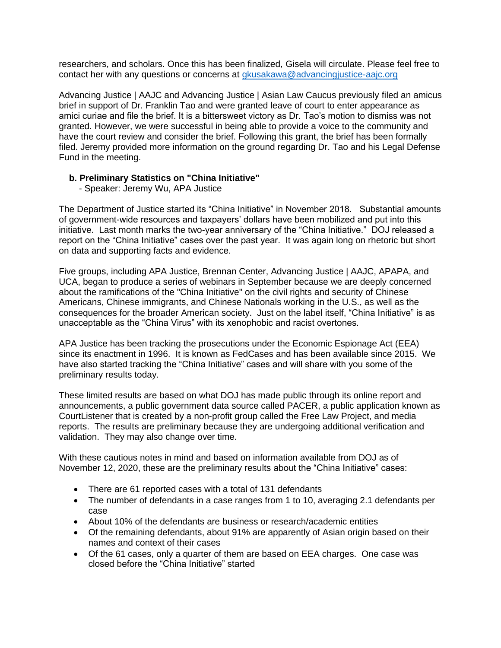researchers, and scholars. Once this has been finalized, Gisela will circulate. Please feel free to contact her with any questions or concerns at [gkusakawa@advancingjustice-aajc.org](mailto:gkusakawa@advancingjustice-aajc.org)

Advancing Justice | AAJC and Advancing Justice | Asian Law Caucus previously filed an amicus brief in support of Dr. Franklin Tao and were granted leave of court to enter appearance as amici curiae and file the brief. It is a bittersweet victory as Dr. Tao's motion to dismiss was not granted. However, we were successful in being able to provide a voice to the community and have the court review and consider the brief. Following this grant, the brief has been formally filed. Jeremy provided more information on the ground regarding Dr. Tao and his Legal Defense Fund in the meeting.

# **b. Preliminary Statistics on "China Initiative"**

- Speaker: Jeremy Wu, APA Justice

The Department of Justice started its "China Initiative" in November 2018. Substantial amounts of government-wide resources and taxpayers' dollars have been mobilized and put into this initiative. Last month marks the two-year anniversary of the "China Initiative." DOJ released a report on the "China Initiative" cases over the past year. It was again long on rhetoric but short on data and supporting facts and evidence.

Five groups, including APA Justice, Brennan Center, Advancing Justice | AAJC, APAPA, and UCA, began to produce a series of webinars in September because we are deeply concerned about the ramifications of the "China Initiative" on the civil rights and security of Chinese Americans, Chinese immigrants, and Chinese Nationals working in the U.S., as well as the consequences for the broader American society. Just on the label itself, "China Initiative" is as unacceptable as the "China Virus" with its xenophobic and racist overtones.

APA Justice has been tracking the prosecutions under the Economic Espionage Act (EEA) since its enactment in 1996. It is known as FedCases and has been available since 2015. We have also started tracking the "China Initiative" cases and will share with you some of the preliminary results today.

These limited results are based on what DOJ has made public through its online report and announcements, a public government data source called PACER, a public application known as CourtListener that is created by a non-profit group called the Free Law Project, and media reports. The results are preliminary because they are undergoing additional verification and validation. They may also change over time.

With these cautious notes in mind and based on information available from DOJ as of November 12, 2020, these are the preliminary results about the "China Initiative" cases:

- There are 61 reported cases with a total of 131 defendants
- The number of defendants in a case ranges from 1 to 10, averaging 2.1 defendants per case
- About 10% of the defendants are business or research/academic entities
- Of the remaining defendants, about 91% are apparently of Asian origin based on their names and context of their cases
- Of the 61 cases, only a quarter of them are based on EEA charges. One case was closed before the "China Initiative" started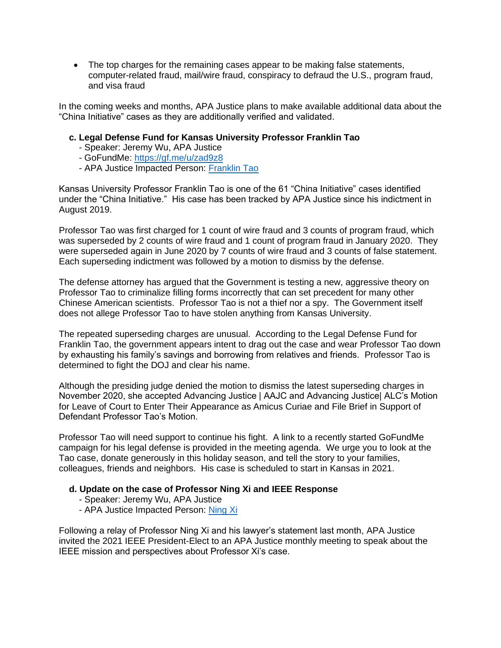• The top charges for the remaining cases appear to be making false statements, computer-related fraud, mail/wire fraud, conspiracy to defraud the U.S., program fraud, and visa fraud

In the coming weeks and months, APA Justice plans to make available additional data about the "China Initiative" cases as they are additionally verified and validated.

### **c. Legal Defense Fund for Kansas University Professor Franklin Tao**

- Speaker: Jeremy Wu, APA Justice
- GoFundMe:<https://gf.me/u/zad9z8>
- APA Justice Impacted Person: [Franklin Tao](https://bit.ly/3fZWJvK)

Kansas University Professor Franklin Tao is one of the 61 "China Initiative" cases identified under the "China Initiative." His case has been tracked by APA Justice since his indictment in August 2019.

Professor Tao was first charged for 1 count of wire fraud and 3 counts of program fraud, which was superseded by 2 counts of wire fraud and 1 count of program fraud in January 2020. They were superseded again in June 2020 by 7 counts of wire fraud and 3 counts of false statement. Each superseding indictment was followed by a motion to dismiss by the defense.

The defense attorney has argued that the Government is testing a new, aggressive theory on Professor Tao to criminalize filling forms incorrectly that can set precedent for many other Chinese American scientists. Professor Tao is not a thief nor a spy. The Government itself does not allege Professor Tao to have stolen anything from Kansas University.

The repeated superseding charges are unusual. According to the Legal Defense Fund for Franklin Tao, the government appears intent to drag out the case and wear Professor Tao down by exhausting his family's savings and borrowing from relatives and friends. Professor Tao is determined to fight the DOJ and clear his name.

Although the presiding judge denied the motion to dismiss the latest superseding charges in November 2020, she accepted Advancing Justice | AAJC and Advancing Justice| ALC's Motion for Leave of Court to Enter Their Appearance as Amicus Curiae and File Brief in Support of Defendant Professor Tao's Motion.

Professor Tao will need support to continue his fight. A link to a recently started GoFundMe campaign for his legal defense is provided in the meeting agenda. We urge you to look at the Tao case, donate generously in this holiday season, and tell the story to your families, colleagues, friends and neighbors. His case is scheduled to start in Kansas in 2021.

#### **d. Update on the case of Professor Ning Xi and IEEE Response**

- Speaker: Jeremy Wu, APA Justice
- APA Justice Impacted Person: [Ning Xi](https://bit.ly/3mjtNlG)

Following a relay of Professor Ning Xi and his lawyer's statement last month, APA Justice invited the 2021 IEEE President-Elect to an APA Justice monthly meeting to speak about the IEEE mission and perspectives about Professor Xi's case.